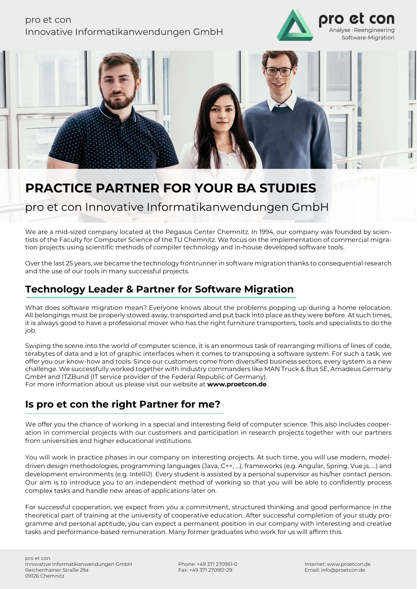### pro et con Innovative Informatikanwendungen GmbH





# **PRACTICE PARTNER FOR YOUR BA STUDIES**

### pro et con Innovative Informatikanwendungen GmbH

We are a mid-sized company located at the Pegasus Center Chemnitz. In 1994, our company was founded by scientists of the Faculty for Computer Science of the TU Chemnitz. We focus on the implementation of commercial migration projects using scientific methods of compiler technology and in-house developed software tools.

Over the last 25 years, we became the technology frontrunner in software migration thanks to consequential research and the use of our tools in many successful projects.

### **Technology Leader & Partner for Software Migration**

What does software migration mean? Everyone knows about the problems popping up during a home relocation. All belongings must be properly stowed away, transported and put back into place as they were before. At such times, it is always good to have a professional mover who has the right furniture transporters, tools and specialists to do the job.

Swiping the scene into the world of computer science, it is an enormous task of rearranging millions of lines of code, terabytes of data and a lot of graphic interfaces when it comes to transposing a software system. For such a task, we offer you our know-how and tools. Since our customers come from diversified business sectors, every system is a new challenge. We successfully worked together with industry commanders like MAN Truck & Bus SE, Amadeus Germany GmbH and ITZBund (IT service provider of the Federal Republic of Germany). For more information about us please visit our website at **www.proetcon.de**.

### **Is pro et con the right Partner for me?**

We offer you the chance of working in a special and interesting field of computer science. This also includes cooperation in commercial projects with our customers and participation in research projects together with our partners from universities and higher educational institutions.

You will work in practice phases in our company on interesting projects. At such time, you will use modern, modeldriven design methodologies, programming languages (Java, C++, …), frameworks (e.g. Angular, Spring, Vue.js, …) and development environments (e.g. IntelliJ). Every student is assisted by a personal supervisor as his/her contact person. Our aim is to introduce you to an independent method of working so that you will be able to confidently process complex tasks and handle new areas of applications later on.

For successful cooperation, we expect from you a commitment, structured thinking and good performance in the theoretical part of training at the university of cooperative education. After successful completion of your study programme and personal aptitude, you can expect a permanent position in our company with interesting and creative tasks and performance-based remuneration. Many former graduates who work for us will affirm this.